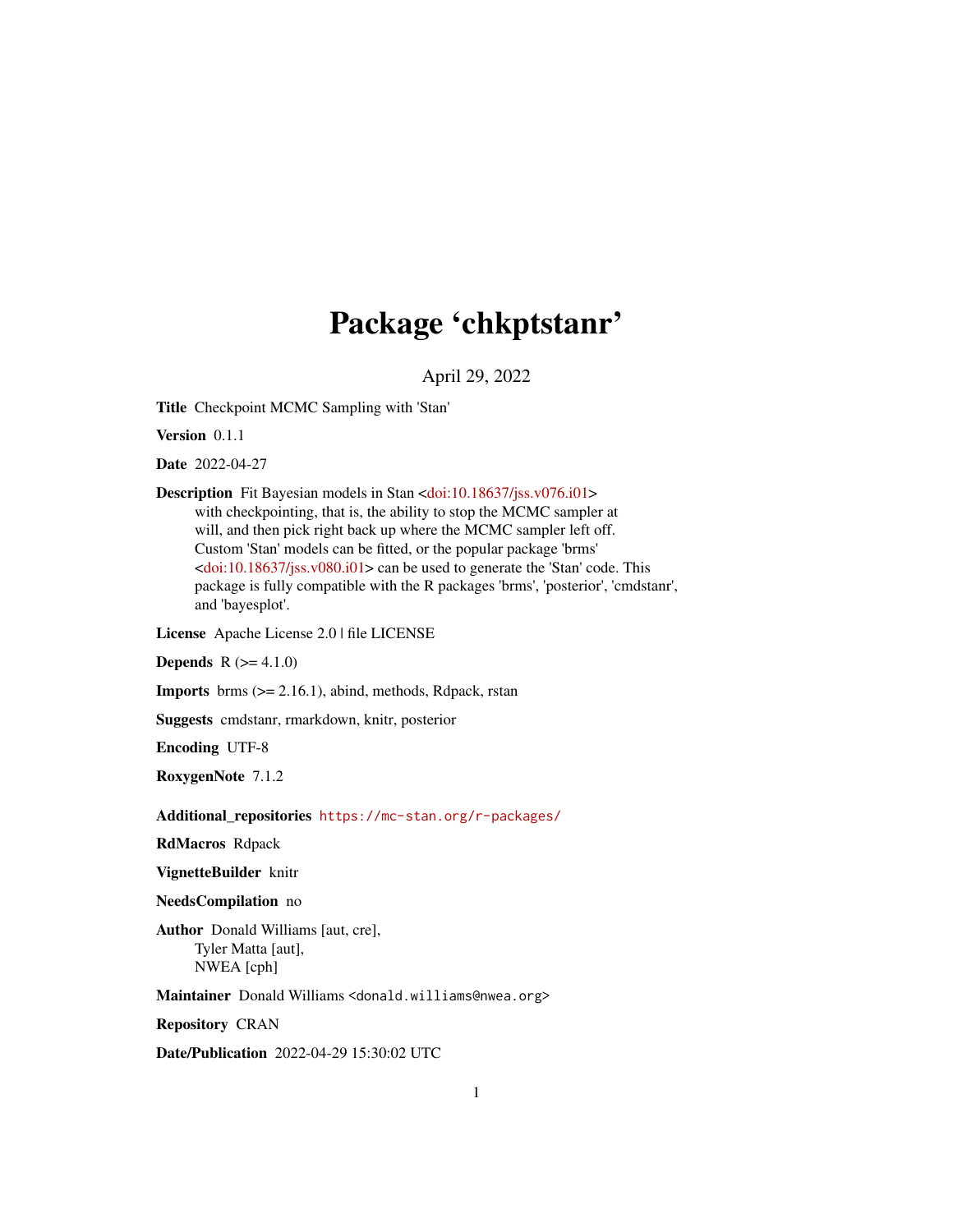## Package 'chkptstanr'

April 29, 2022

<span id="page-0-0"></span>Title Checkpoint MCMC Sampling with 'Stan'

Version 0.1.1

Date 2022-04-27

Description Fit Bayesian models in Stan [<doi:10.18637/jss.v076.i01>](https://doi.org/10.18637/jss.v076.i01) with checkpointing, that is, the ability to stop the MCMC sampler at will, and then pick right back up where the MCMC sampler left off. Custom 'Stan' models can be fitted, or the popular package 'brms' [<doi:10.18637/jss.v080.i01>](https://doi.org/10.18637/jss.v080.i01) can be used to generate the 'Stan' code. This package is fully compatible with the R packages 'brms', 'posterior', 'cmdstanr', and 'bayesplot'.

License Apache License 2.0 | file LICENSE

**Depends** R  $(>= 4.1.0)$ 

**Imports** brms  $(>= 2.16.1)$ , abind, methods, Rdpack, rstan

Suggests cmdstanr, rmarkdown, knitr, posterior

Encoding UTF-8

RoxygenNote 7.1.2

Additional\_repositories <https://mc-stan.org/r-packages/>

RdMacros Rdpack

VignetteBuilder knitr

NeedsCompilation no

Author Donald Williams [aut, cre], Tyler Matta [aut], NWEA [cph]

Maintainer Donald Williams <donald.williams@nwea.org>

Repository CRAN

Date/Publication 2022-04-29 15:30:02 UTC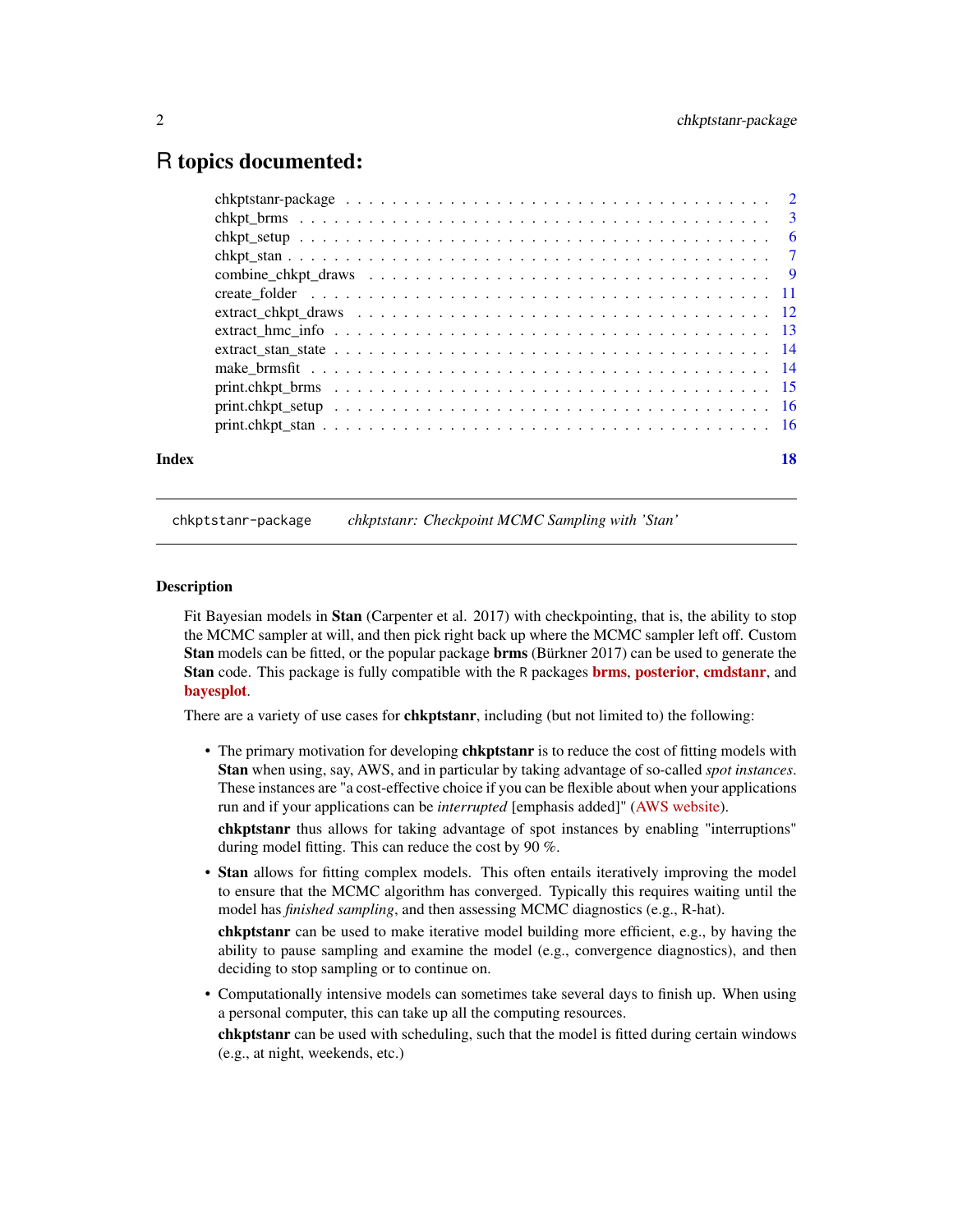### <span id="page-1-0"></span>R topics documented:

| Index | 18 |
|-------|----|
|       |    |
|       |    |
|       |    |
|       |    |
|       |    |
|       |    |
|       |    |
|       |    |
|       |    |
|       |    |
|       |    |
|       |    |
|       |    |

chkptstanr-package *chkptstanr: Checkpoint MCMC Sampling with 'Stan'*

#### **Description**

Fit Bayesian models in Stan (Carpenter et al. 2017) with checkpointing, that is, the ability to stop the MCMC sampler at will, and then pick right back up where the MCMC sampler left off. Custom **Stan** models can be fitted, or the popular package **brms** (Bürkner 2017) can be used to generate the Stan code. This package is fully compatible with the R packages **[brms](http://paul-buerkner.github.io/brms/), [posterior](https://mc-stan.org/posterior/), [cmdstanr](https://mc-stan.org/cmdstanr/)**, and [bayesplot](https://mc-stan.org/bayesplot/).

There are a variety of use cases for **chkptstanr**, including (but not limited to) the following:

• The primary motivation for developing **chkptstanr** is to reduce the cost of fitting models with Stan when using, say, AWS, and in particular by taking advantage of so-called *spot instances*. These instances are "a cost-effective choice if you can be flexible about when your applications run and if your applications can be *interrupted* [emphasis added]" [\(AWS website\)](https://docs.aws.amazon.com/AWSEC2/latest/UserGuide/using-spot-instances.html).

chkptstanr thus allows for taking advantage of spot instances by enabling "interruptions" during model fitting. This can reduce the cost by 90 %.

• Stan allows for fitting complex models. This often entails iteratively improving the model to ensure that the MCMC algorithm has converged. Typically this requires waiting until the model has *finished sampling*, and then assessing MCMC diagnostics (e.g., R-hat).

chkptstanr can be used to make iterative model building more efficient, e.g., by having the ability to pause sampling and examine the model (e.g., convergence diagnostics), and then deciding to stop sampling or to continue on.

• Computationally intensive models can sometimes take several days to finish up. When using a personal computer, this can take up all the computing resources.

chkptstanr can be used with scheduling, such that the model is fitted during certain windows (e.g., at night, weekends, etc.)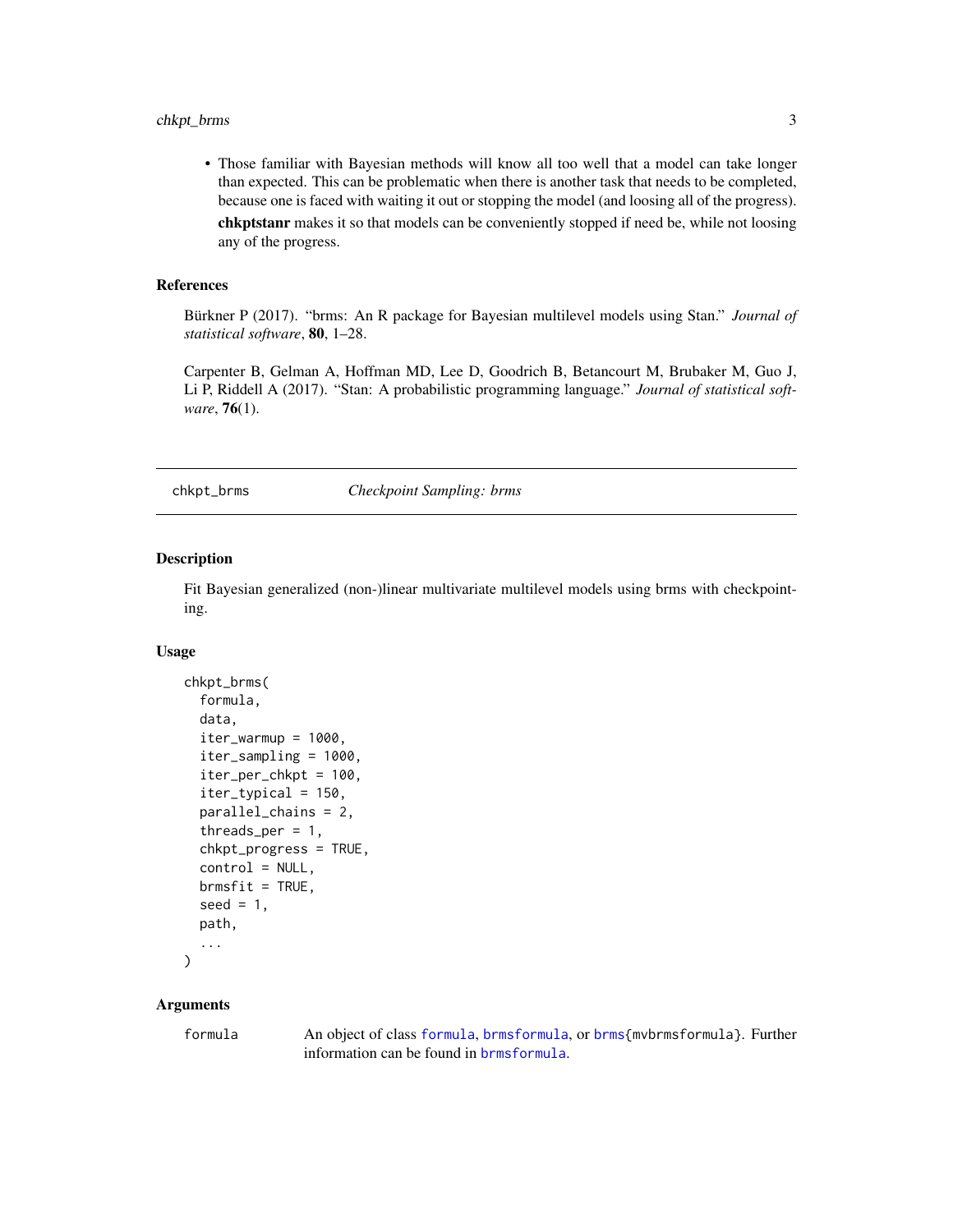<span id="page-2-0"></span>• Those familiar with Bayesian methods will know all too well that a model can take longer than expected. This can be problematic when there is another task that needs to be completed, because one is faced with waiting it out or stopping the model (and loosing all of the progress). chkptstanr makes it so that models can be conveniently stopped if need be, while not loosing any of the progress.

#### References

Bürkner P (2017). "brms: An R package for Bayesian multilevel models using Stan." *Journal of statistical software*, 80, 1–28.

Carpenter B, Gelman A, Hoffman MD, Lee D, Goodrich B, Betancourt M, Brubaker M, Guo J, Li P, Riddell A (2017). "Stan: A probabilistic programming language." *Journal of statistical software*, 76(1).

<span id="page-2-1"></span>chkpt\_brms *Checkpoint Sampling: brms*

#### Description

Fit Bayesian generalized (non-)linear multivariate multilevel models using brms with checkpointing.

#### Usage

```
chkpt_brms(
  formula,
  data,
  iter\_warmup = 1000,iter_sampling = 1000,
  iter\_per\_chkpt = 100,
  iter_typical = 150,
  parallel_chains = 2,
  threads_per = 1,
  chkpt_progress = TRUE,
  control = NULL,
 brmsfit = TRUE,seed = 1,
 path,
  ...
)
```
#### Arguments

formula An object of class [formula](#page-0-0), [brmsformula](#page-0-0), or [brms{](#page-0-0)mvbrmsformula}. Further information can be found in [brmsformula](#page-0-0).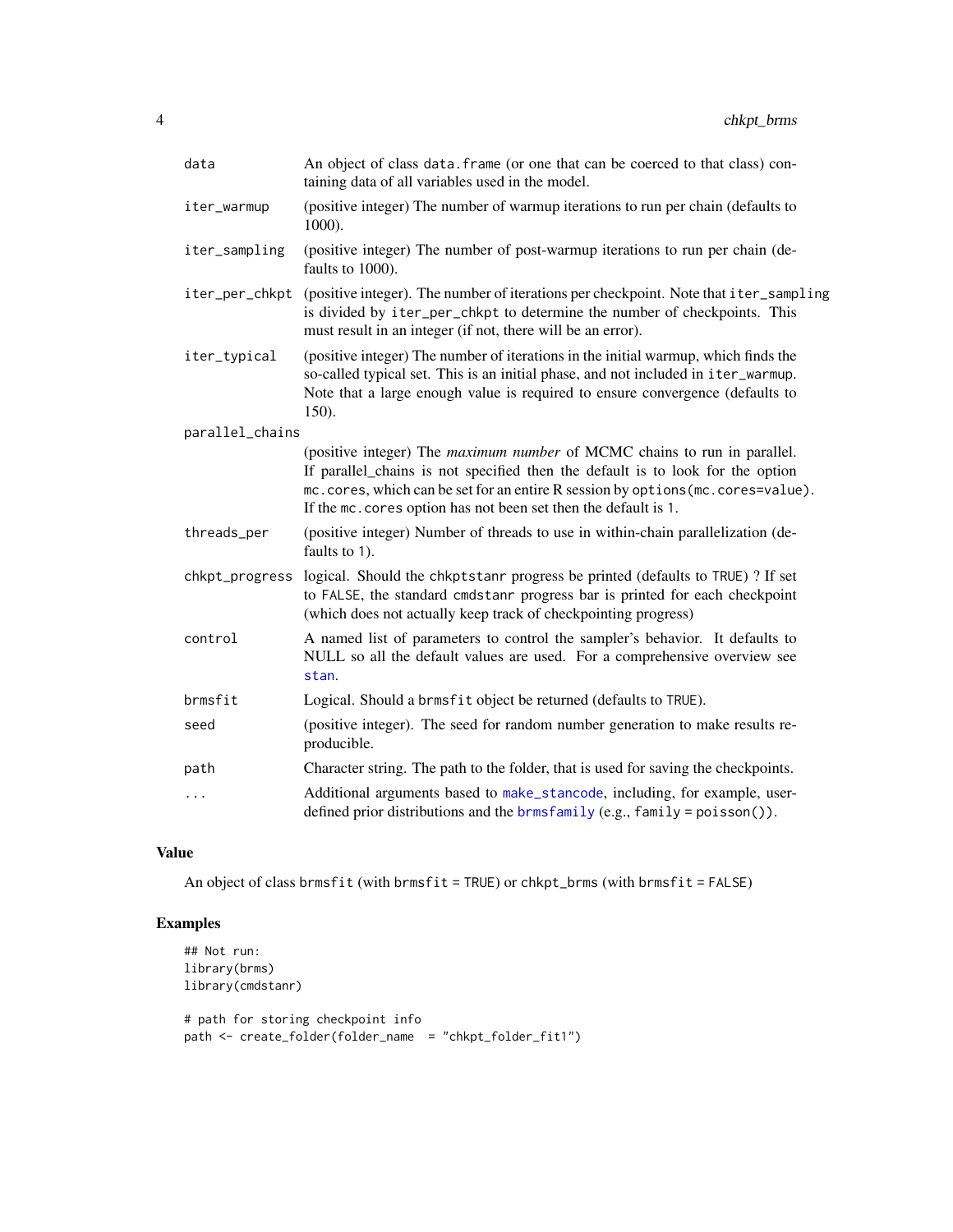<span id="page-3-0"></span>

| data            | An object of class data. frame (or one that can be coerced to that class) con-<br>taining data of all variables used in the model.                                                                                                                                                                                        |  |
|-----------------|---------------------------------------------------------------------------------------------------------------------------------------------------------------------------------------------------------------------------------------------------------------------------------------------------------------------------|--|
| iter_warmup     | (positive integer) The number of warmup iterations to run per chain (defaults to<br>1000).                                                                                                                                                                                                                                |  |
| iter_sampling   | (positive integer) The number of post-warmup iterations to run per chain (de-<br>faults to 1000).                                                                                                                                                                                                                         |  |
| iter_per_chkpt  | (positive integer). The number of iterations per checkpoint. Note that iter_sampling<br>is divided by iter_per_chkpt to determine the number of checkpoints. This<br>must result in an integer (if not, there will be an error).                                                                                          |  |
| iter_typical    | (positive integer) The number of iterations in the initial warmup, which finds the<br>so-called typical set. This is an initial phase, and not included in iter_warmup.<br>Note that a large enough value is required to ensure convergence (defaults to<br>150).                                                         |  |
| parallel_chains |                                                                                                                                                                                                                                                                                                                           |  |
|                 | (positive integer) The <i>maximum number</i> of MCMC chains to run in parallel.<br>If parallel_chains is not specified then the default is to look for the option<br>mc. cores, which can be set for an entire R session by options (mc. cores=value).<br>If the mc. cores option has not been set then the default is 1. |  |
| threads_per     | (positive integer) Number of threads to use in within-chain parallelization (de-<br>faults to 1).                                                                                                                                                                                                                         |  |
| chkpt_progress  | logical. Should the chkptstanr progress be printed (defaults to TRUE) ? If set<br>to FALSE, the standard cmdstanr progress bar is printed for each checkpoint<br>(which does not actually keep track of checkpointing progress)                                                                                           |  |
| control         | A named list of parameters to control the sampler's behavior. It defaults to<br>NULL so all the default values are used. For a comprehensive overview see<br>stan.                                                                                                                                                        |  |
| brmsfit         | Logical. Should a brmsfit object be returned (defaults to TRUE).                                                                                                                                                                                                                                                          |  |
| seed            | (positive integer). The seed for random number generation to make results re-<br>producible.                                                                                                                                                                                                                              |  |
| path            | Character string. The path to the folder, that is used for saving the checkpoints.                                                                                                                                                                                                                                        |  |
| .               | Additional arguments based to make_stancode, including, for example, user-<br>defined prior distributions and the brmsfamily (e.g., family = $poisson()$ ).                                                                                                                                                               |  |

#### Value

An object of class brmsfit (with brmsfit = TRUE) or chkpt\_brms (with brmsfit = FALSE)

#### Examples

```
## Not run:
library(brms)
library(cmdstanr)
```

```
# path for storing checkpoint info
path <- create_folder(folder_name = "chkpt_folder_fit1")
```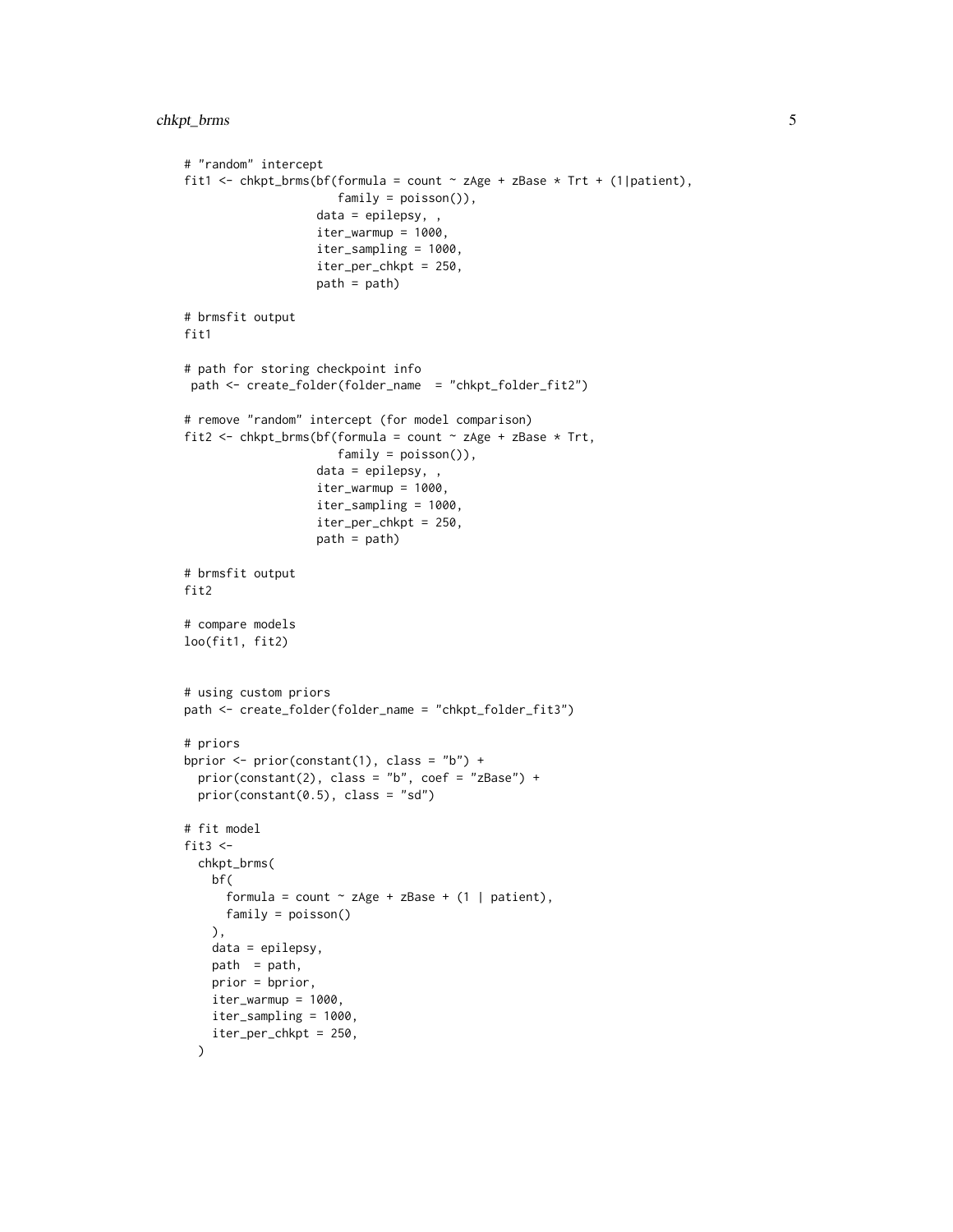```
# "random" intercept
fit1 <- chkpt_brms(bf(formula = count \sim zAge + zBase \star Trt + (1|patient),
                      family = poisson()),
                   data = epilepsy, ,
                   iter_warmup = 1000,
                   iter_sampling = 1000,
                   iter_per_chkpt = 250,
                   path = path)
# brmsfit output
fit1
# path for storing checkpoint info
path <- create_folder(folder_name = "chkpt_folder_fit2")
# remove "random" intercept (for model comparison)
fit2 <- chkpt_brms(bf(formula = count ~ zAge + zBase * Trt,
                      family = poisson()),
                   data = epilepsy, ,
                   iter_warmup = 1000,
                   iter_sampling = 1000,
                   iter_per_chkpt = 250,
                   path = path)
# brmsfit output
fit2
# compare models
loo(fit1, fit2)
# using custom priors
path <- create_folder(folder_name = "chkpt_folder_fit3")
# priors
bprior \le prior(constant(1), class = "b") +
  prior(constant(2), class = "b", coef = "zBase") +
  prior(constant(0.5), class = "sd")
# fit model
fit3 < -chkpt_brms(
   bf(
      formula = count \sim zAge + zBase + (1 | patient),
      family = poisson()
   ),
   data = epilepsy,
   path = path,
   prior = bprior,
   iter_warmup = 1000,
   iter_sampling = 1000,
    iter_per_chkpt = 250,
  \lambda
```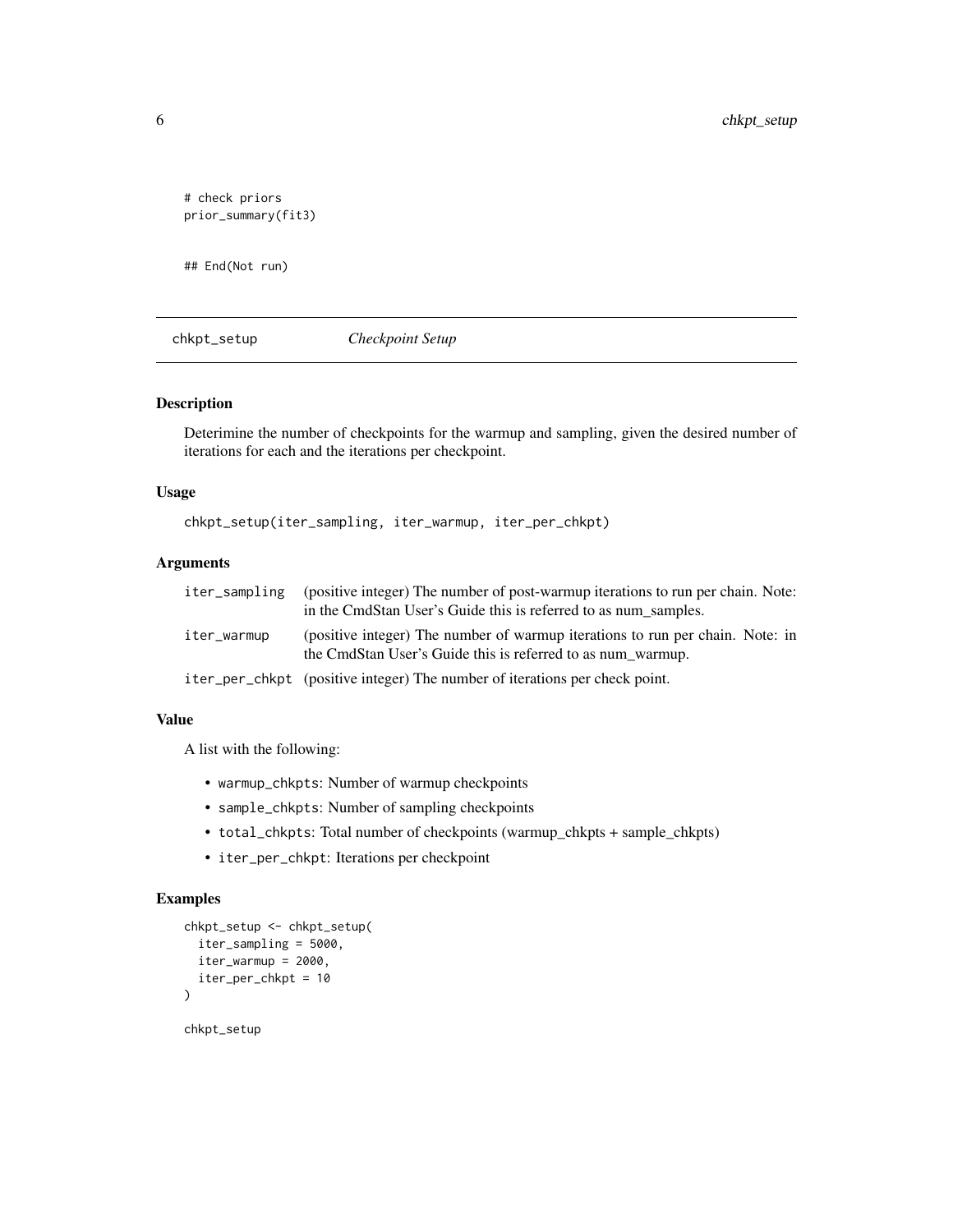```
# check priors
prior_summary(fit3)
```
## End(Not run)

chkpt\_setup *Checkpoint Setup*

#### Description

Deterimine the number of checkpoints for the warmup and sampling, given the desired number of iterations for each and the iterations per checkpoint.

#### Usage

chkpt\_setup(iter\_sampling, iter\_warmup, iter\_per\_chkpt)

#### Arguments

| iter_sampling | (positive integer) The number of post-warmup iterations to run per chain. Note:<br>in the CmdStan User's Guide this is referred to as num samples. |
|---------------|----------------------------------------------------------------------------------------------------------------------------------------------------|
| iter_warmup   | (positive integer) The number of warmup iterations to run per chain. Note: in<br>the CmdStan User's Guide this is referred to as num warmup.       |
|               | iter_per_chkpt (positive integer) The number of iterations per check point.                                                                        |

#### Value

A list with the following:

- warmup\_chkpts: Number of warmup checkpoints
- sample\_chkpts: Number of sampling checkpoints
- total\_chkpts: Total number of checkpoints (warmup\_chkpts + sample\_chkpts)
- iter\_per\_chkpt: Iterations per checkpoint

#### Examples

```
chkpt_setup <- chkpt_setup(
  iter_sampling = 5000,
  iter\_warmup = 2000,
  iter_per_chkpt = 10
)
```
chkpt\_setup

<span id="page-5-0"></span>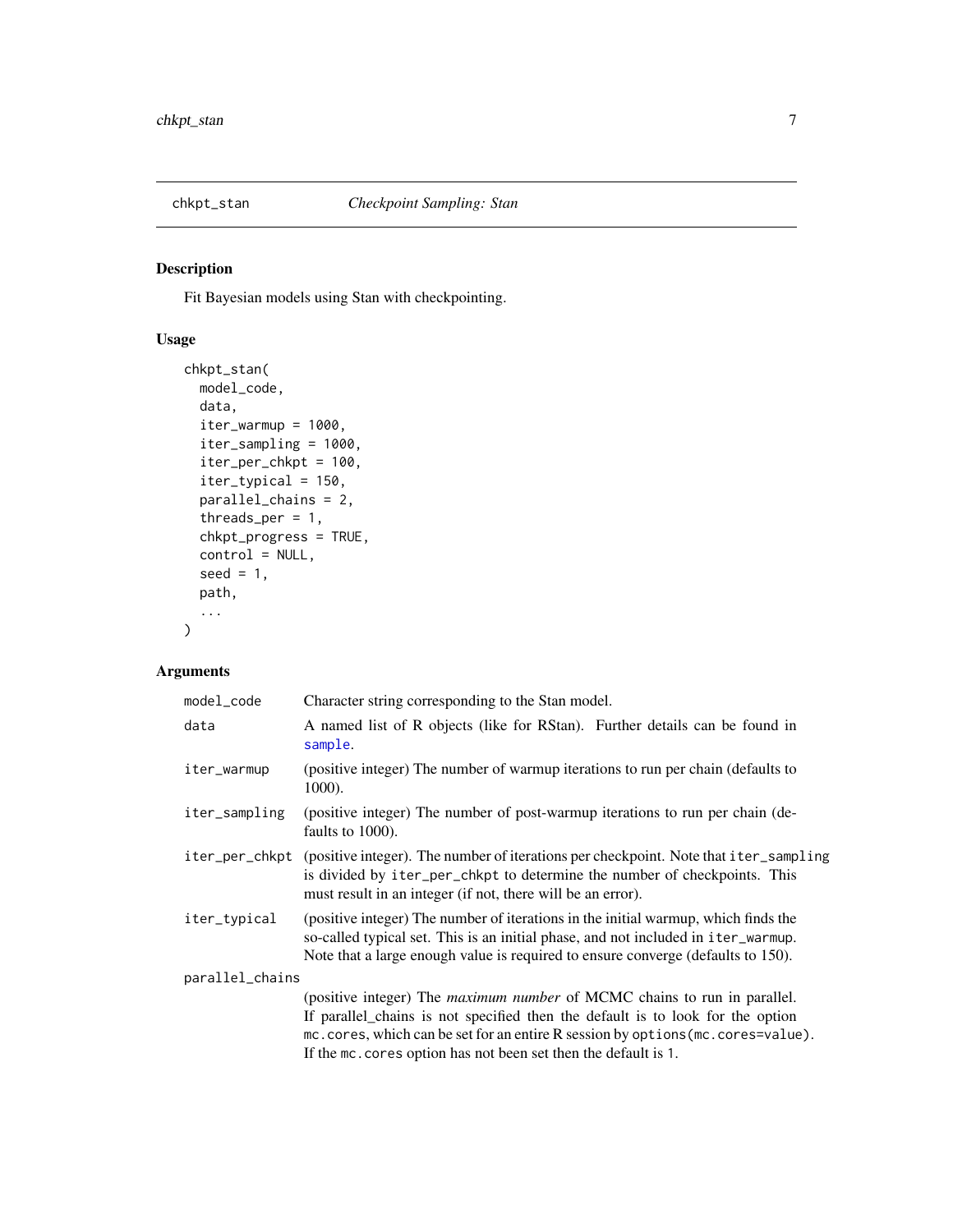<span id="page-6-0"></span>

#### Description

Fit Bayesian models using Stan with checkpointing.

#### Usage

```
chkpt_stan(
 model_code,
 data,
  iter_warmup = 1000,
  iter_sampling = 1000,
  iter_per_chkpt = 100,
  iter_typical = 150,
 parallel_chains = 2,
  threads_per = 1,
  chkpt_progress = TRUE,
  control = NULL,
  seed = 1,
 path,
  ...
)
```
#### Arguments

| model_code      | Character string corresponding to the Stan model.                                                                                                                                                                                                                                                                       |  |  |
|-----------------|-------------------------------------------------------------------------------------------------------------------------------------------------------------------------------------------------------------------------------------------------------------------------------------------------------------------------|--|--|
| data            | A named list of R objects (like for RStan). Further details can be found in<br>sample.                                                                                                                                                                                                                                  |  |  |
| iter_warmup     | (positive integer) The number of warmup iterations to run per chain (defaults to<br>1000).                                                                                                                                                                                                                              |  |  |
| iter_sampling   | (positive integer) The number of post-warmup iterations to run per chain (de-<br>faults to 1000).                                                                                                                                                                                                                       |  |  |
|                 | iter_per_chkpt (positive integer). The number of iterations per checkpoint. Note that iter_sampling<br>is divided by iter_per_chkpt to determine the number of checkpoints. This<br>must result in an integer (if not, there will be an error).                                                                         |  |  |
| iter_typical    | (positive integer) The number of iterations in the initial warmup, which finds the<br>so-called typical set. This is an initial phase, and not included in iter_warmup.<br>Note that a large enough value is required to ensure converge (defaults to 150).                                                             |  |  |
| parallel_chains |                                                                                                                                                                                                                                                                                                                         |  |  |
|                 | (positive integer) The <i>maximum number</i> of MCMC chains to run in parallel.<br>If parallel_chains is not specified then the default is to look for the option<br>mc.cores, which can be set for an entire R session by options (mc.cores=value).<br>If the mc. cores option has not been set then the default is 1. |  |  |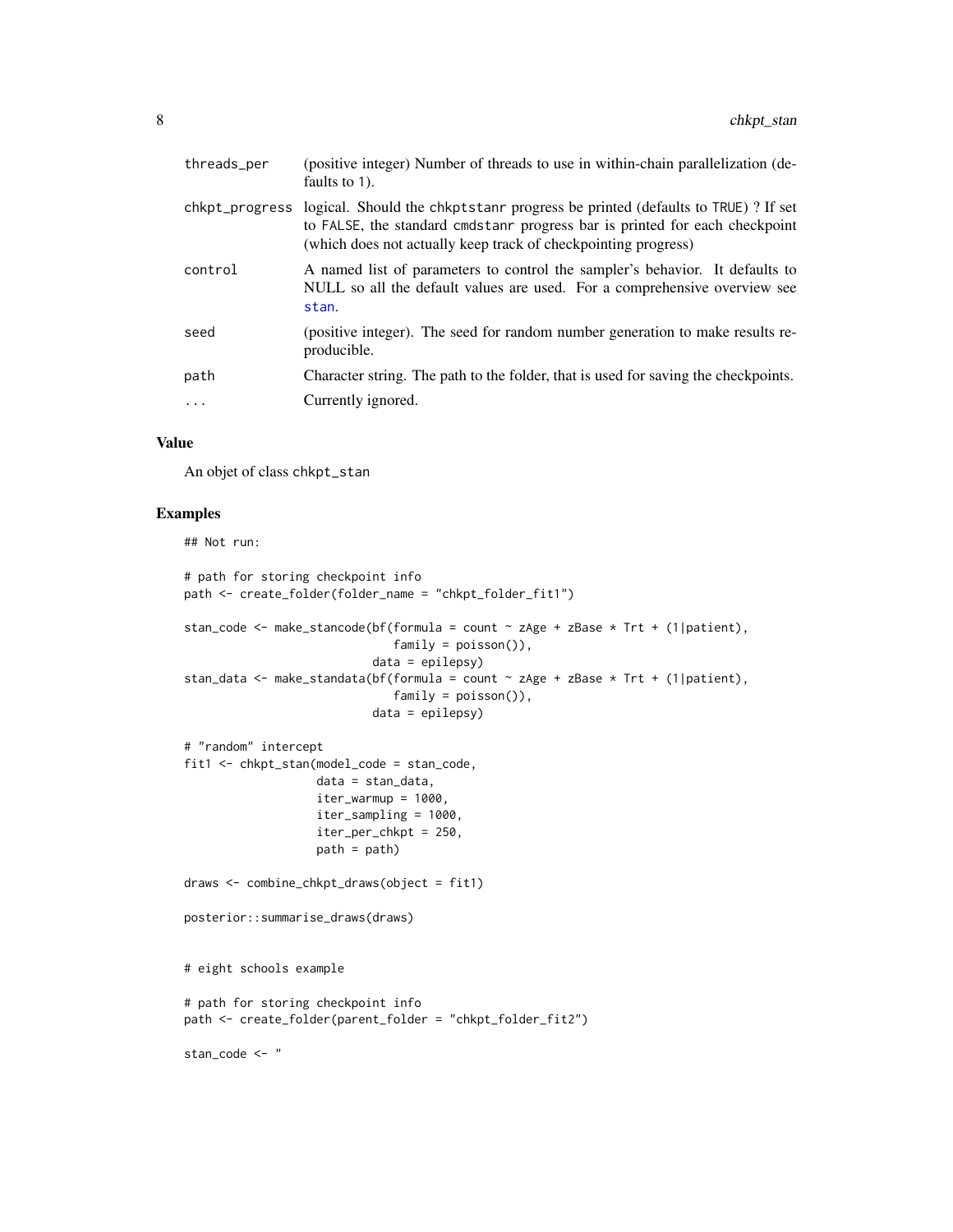<span id="page-7-0"></span>

| threads_per | (positive integer) Number of threads to use in within-chain parallelization (de-<br>faults to 1).                                                                                                                                              |
|-------------|------------------------------------------------------------------------------------------------------------------------------------------------------------------------------------------------------------------------------------------------|
|             | chkpt_progress logical. Should the chkptstanr progress be printed (defaults to TRUE) ? If set<br>to FALSE, the standard cmdstanr progress bar is printed for each checkpoint<br>(which does not actually keep track of checkpointing progress) |
| control     | A named list of parameters to control the sampler's behavior. It defaults to<br>NULL so all the default values are used. For a comprehensive overview see<br>stan.                                                                             |
| seed        | (positive integer). The seed for random number generation to make results re-<br>producible.                                                                                                                                                   |
| path        | Character string. The path to the folder, that is used for saving the checkpoints.                                                                                                                                                             |
| .           | Currently ignored.                                                                                                                                                                                                                             |

#### Value

An objet of class chkpt\_stan

#### Examples

## Not run:

```
# path for storing checkpoint info
path <- create_folder(folder_name = "chkpt_folder_fit1")
stan_code <- make_stancode(bf(formula = count \sim zAge + zBase \star Trt + (1|patient),
                              family = poisson(),
                           data = epilepsy)
stan_data <- make_standata(bf(formula = count ~ zAge + zBase * Trt + (1|patient),
                              family = poisson()),
                           data = epilepsy)
# "random" intercept
fit1 <- chkpt_stan(model_code = stan_code,
                   data = stan_data,
                   iter_warmup = 1000,
                   iter_sampling = 1000,
                   iter_per_chkpt = 250,
                   path = path)
draws <- combine_chkpt_draws(object = fit1)
posterior::summarise_draws(draws)
# eight schools example
# path for storing checkpoint info
path <- create_folder(parent_folder = "chkpt_folder_fit2")
stan_code <- "
```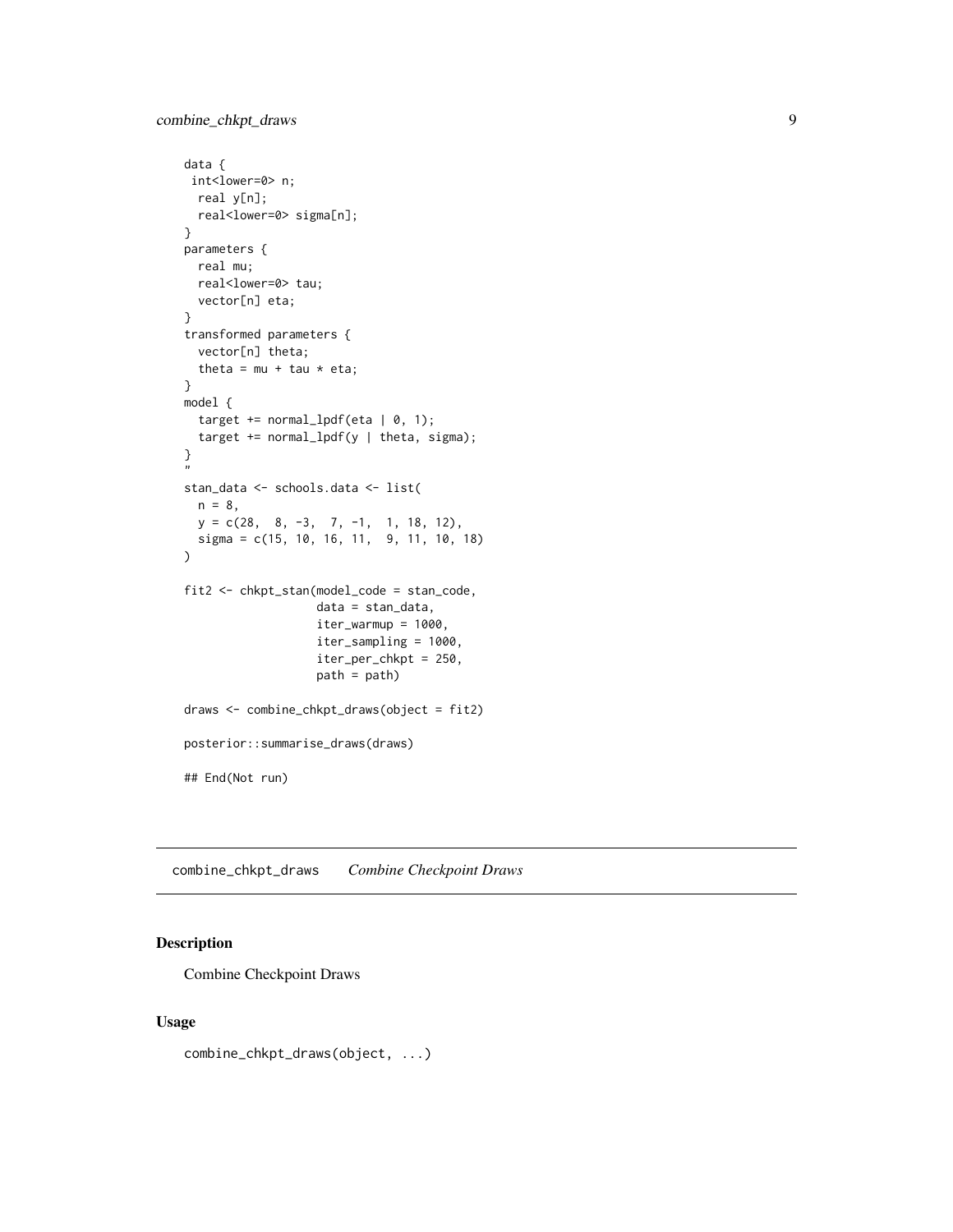```
data {
 int<lower=0> n;
  real y[n];
  real<lower=0> sigma[n];
}
parameters {
  real mu;
  real<lower=0> tau;
  vector[n] eta;
}
transformed parameters {
  vector[n] theta;
  theta = mu + tau * eta;}
model {
  target += normal\_lpdf(eta | 0, 1);target += normal_lpdf(y | theta, sigma);
}
"
stan_data <- schools.data <- list(
  n = 8,
  y = c(28, 8, -3, 7, -1, 1, 18, 12),sigma = c(15, 10, 16, 11, 9, 11, 10, 18)
\mathcal{L}fit2 <- chkpt_stan(model_code = stan_code,
                   data = stan_data,
                   iter_warmup = 1000,
                   iter_sampling = 1000,
                   iter_per_chkpt = 250,
                   path = path)
draws <- combine_chkpt_draws(object = fit2)
posterior::summarise_draws(draws)
## End(Not run)
```
<span id="page-8-1"></span>combine\_chkpt\_draws *Combine Checkpoint Draws*

#### Description

Combine Checkpoint Draws

#### Usage

combine\_chkpt\_draws(object, ...)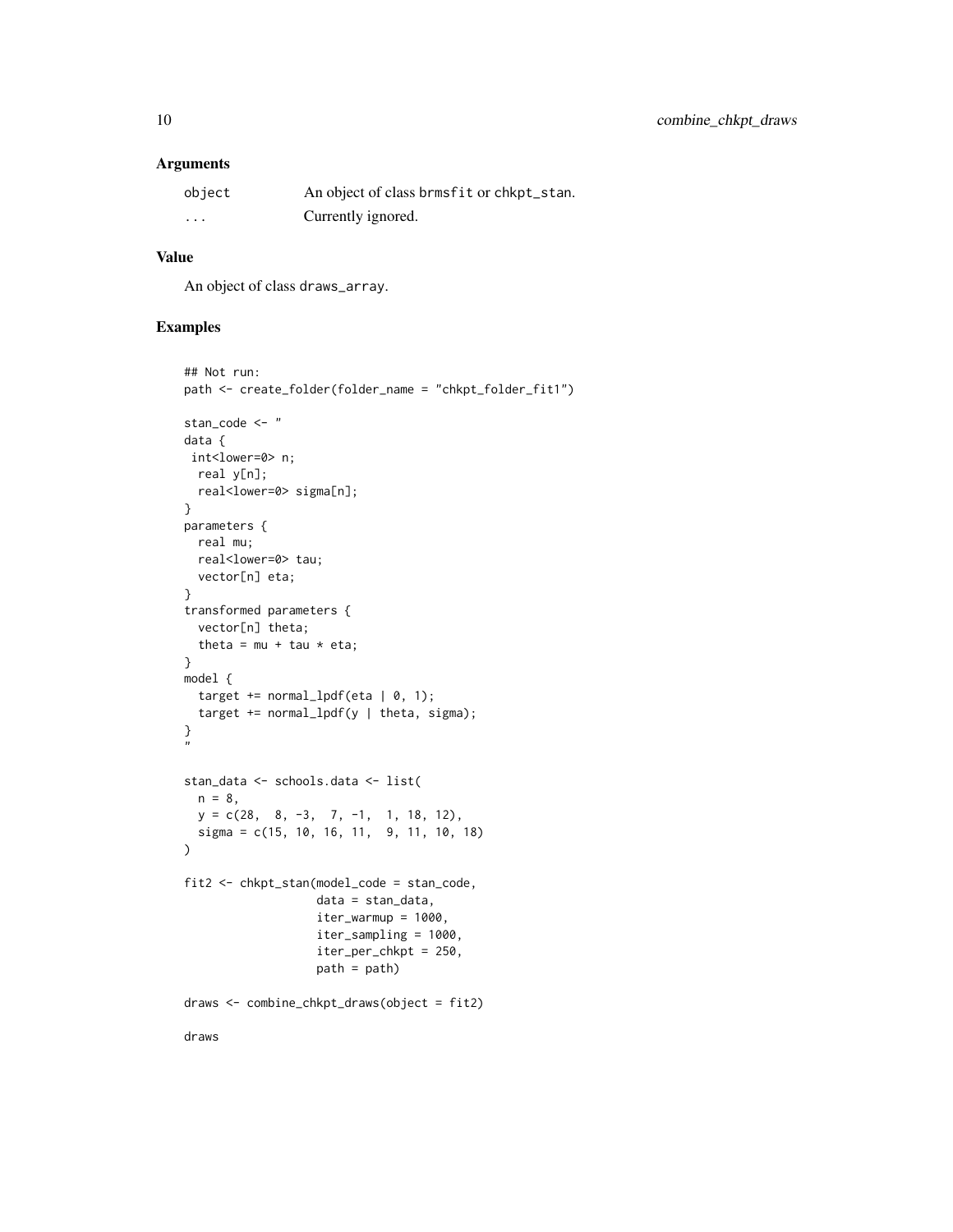#### Arguments

| object   | An object of class brmsfit or chkpt_stan. |
|----------|-------------------------------------------|
| $\cdots$ | Currently ignored.                        |

#### Value

An object of class draws\_array.

#### Examples

```
## Not run:
path <- create_folder(folder_name = "chkpt_folder_fit1")
stan_code <- "
data {
int<lower=0> n;
 real y[n];
  real<lower=0> sigma[n];
}
parameters {
 real mu;
 real<lower=0> tau;
  vector[n] eta;
}
transformed parameters {
  vector[n] theta;
  theta = mu + tau * eta;
}
model {
  target += normal_lpdf(eta | 0, 1);target += normal_lpdf(y | theta, sigma);
}
,,
stan_data <- schools.data <- list(
  n = 8,
 y = c(28, 8, -3, 7, -1, 1, 18, 12),sigma = c(15, 10, 16, 11, 9, 11, 10, 18))
fit2 <- chkpt_stan(model_code = stan_code,
                   data = stan_data,
                   iter_warmup = 1000,
                   iter_sampling = 1000,
                   iter_per_chkpt = 250,
                   path = path)
draws <- combine_chkpt_draws(object = fit2)
```
draws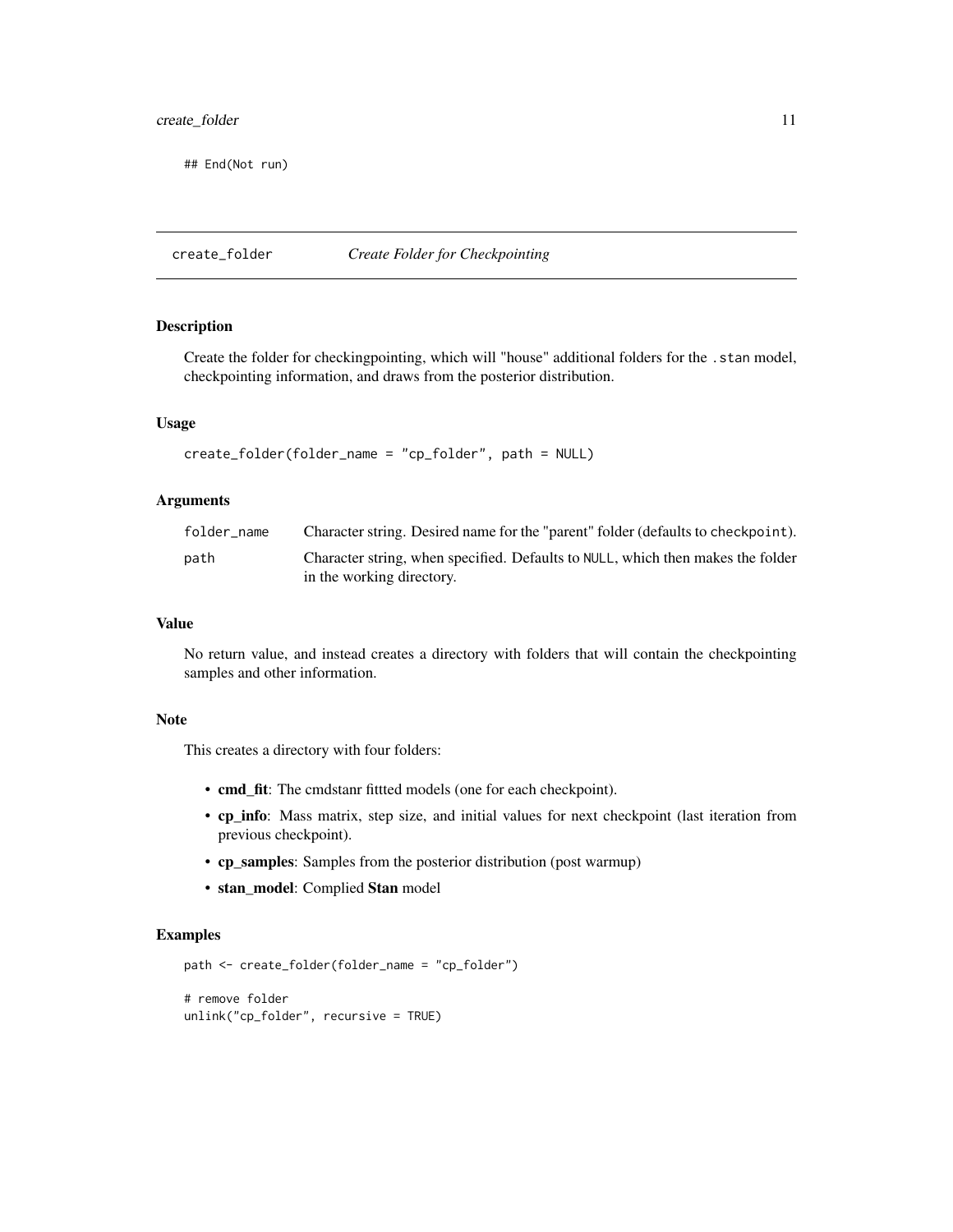#### <span id="page-10-0"></span>create\_folder 11

## End(Not run)

create\_folder *Create Folder for Checkpointing*

#### Description

Create the folder for checkingpointing, which will "house" additional folders for the .stan model, checkpointing information, and draws from the posterior distribution.

#### Usage

```
create_folder(folder_name = "cp_folder", path = NULL)
```
#### Arguments

| folder name | Character string. Desired name for the "parent" folder (defaults to checkpoint). |
|-------------|----------------------------------------------------------------------------------|
| path        | Character string, when specified. Defaults to NULL, which then makes the folder  |
|             | in the working directory.                                                        |

#### Value

No return value, and instead creates a directory with folders that will contain the checkpointing samples and other information.

#### Note

This creates a directory with four folders:

- cmd\_fit: The cmdstanr fittted models (one for each checkpoint).
- cp\_info: Mass matrix, step size, and initial values for next checkpoint (last iteration from previous checkpoint).
- cp\_samples: Samples from the posterior distribution (post warmup)
- stan\_model: Complied Stan model

#### Examples

```
path <- create_folder(folder_name = "cp_folder")
```

```
# remove folder
unlink("cp_folder", recursive = TRUE)
```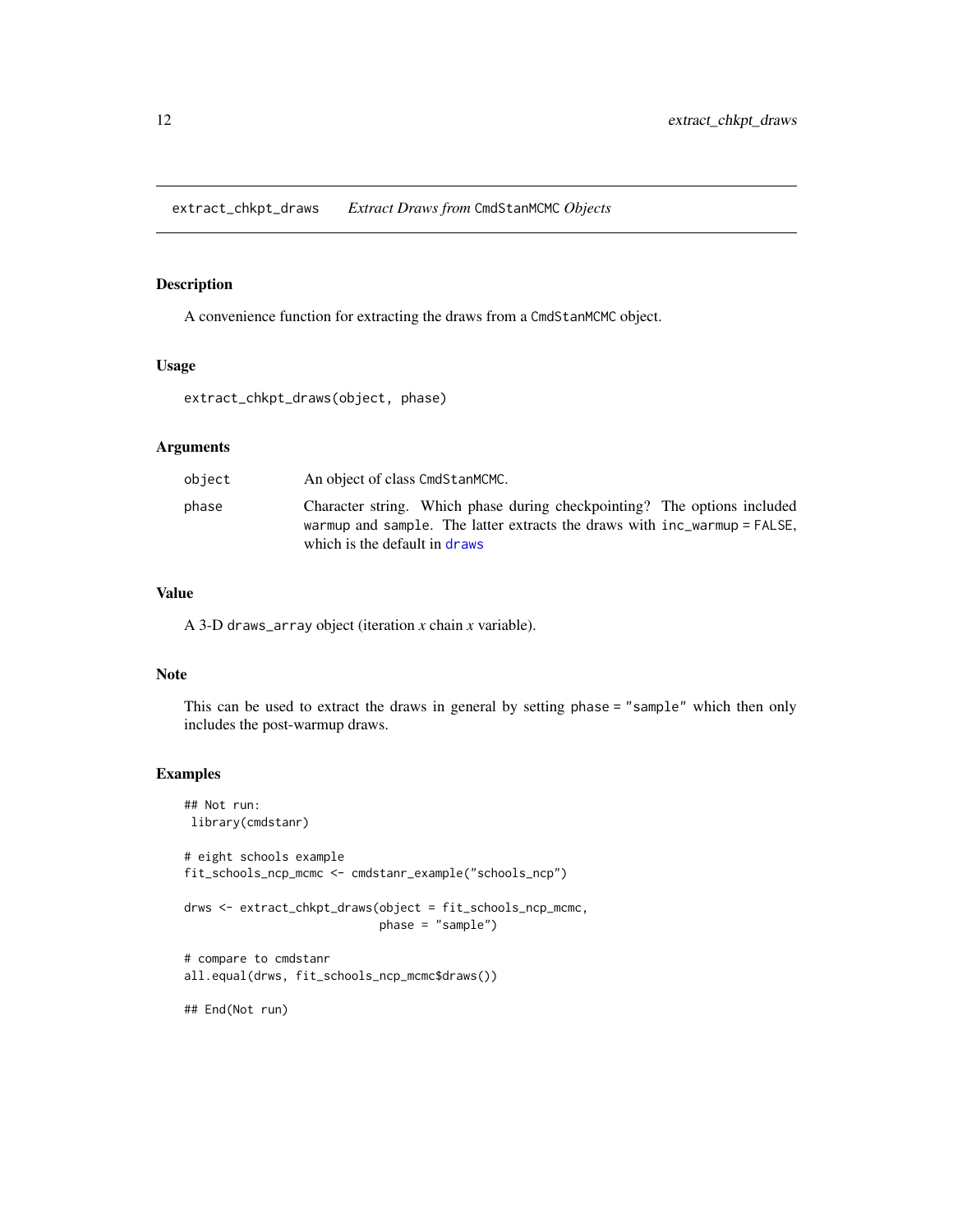#### <span id="page-11-0"></span>Description

A convenience function for extracting the draws from a CmdStanMCMC object.

#### Usage

```
extract_chkpt_draws(object, phase)
```
#### Arguments

| object | An object of class CmdStanMCMC.                                                                                                                                                        |
|--------|----------------------------------------------------------------------------------------------------------------------------------------------------------------------------------------|
| phase  | Character string. Which phase during checkpointing? The options included<br>warmup and sample. The latter extracts the draws with inc_warmup = FALSE,<br>which is the default in draws |

#### Value

A 3-D draws\_array object (iteration *x* chain *x* variable).

#### Note

This can be used to extract the draws in general by setting phase = "sample" which then only includes the post-warmup draws.

#### Examples

```
## Not run:
library(cmdstanr)
# eight schools example
fit_schools_ncp_mcmc <- cmdstanr_example("schools_ncp")
drws <- extract_chkpt_draws(object = fit_schools_ncp_mcmc,
                            phase = "sample")
# compare to cmdstanr
all.equal(drws, fit_schools_ncp_mcmc$draws())
## End(Not run)
```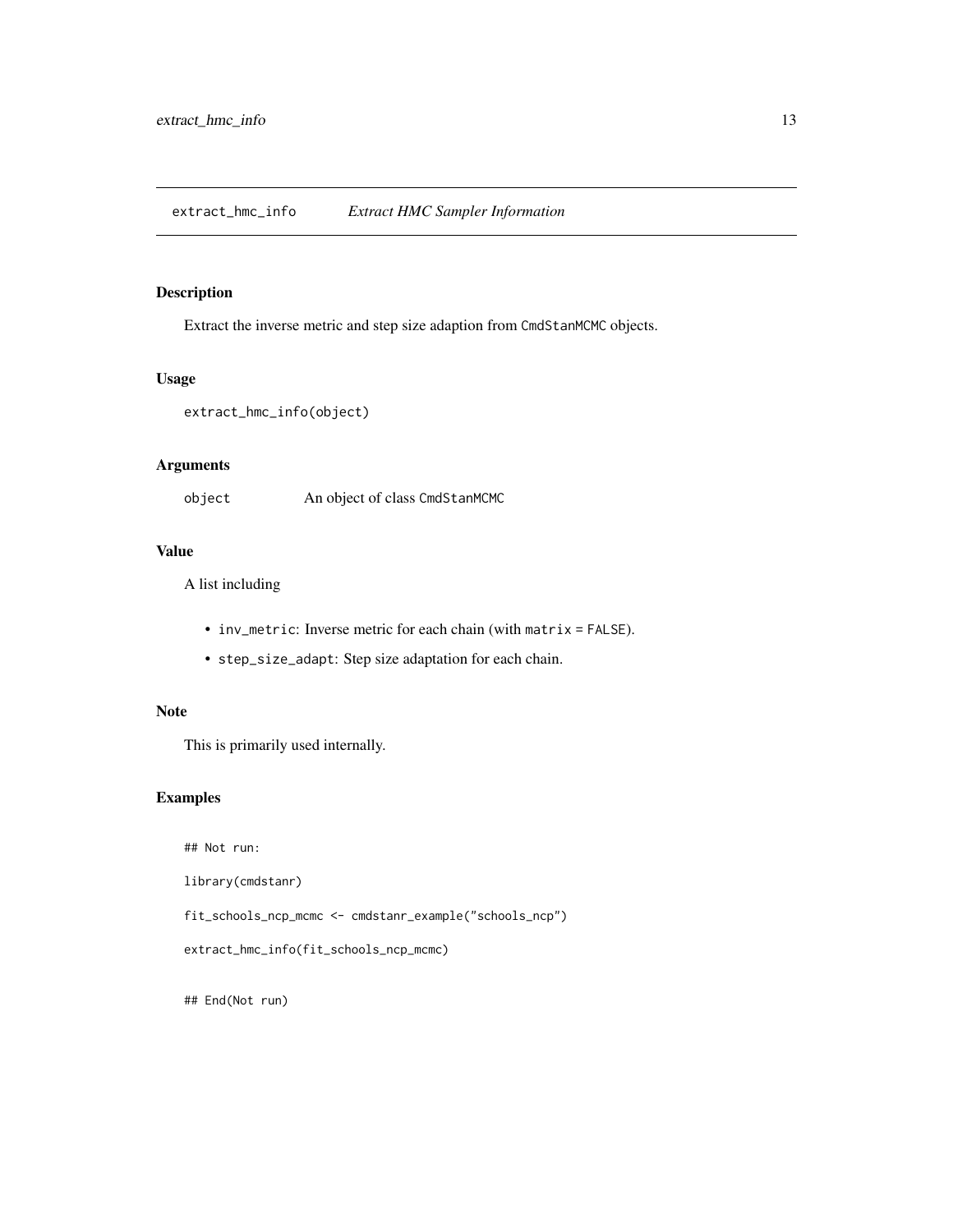#### <span id="page-12-0"></span>Description

Extract the inverse metric and step size adaption from CmdStanMCMC objects.

#### Usage

```
extract_hmc_info(object)
```
#### Arguments

object An object of class CmdStanMCMC

#### Value

A list including

- inv\_metric: Inverse metric for each chain (with matrix = FALSE).
- step\_size\_adapt: Step size adaptation for each chain.

#### Note

This is primarily used internally.

#### Examples

## Not run:

library(cmdstanr)

fit\_schools\_ncp\_mcmc <- cmdstanr\_example("schools\_ncp")

extract\_hmc\_info(fit\_schools\_ncp\_mcmc)

## End(Not run)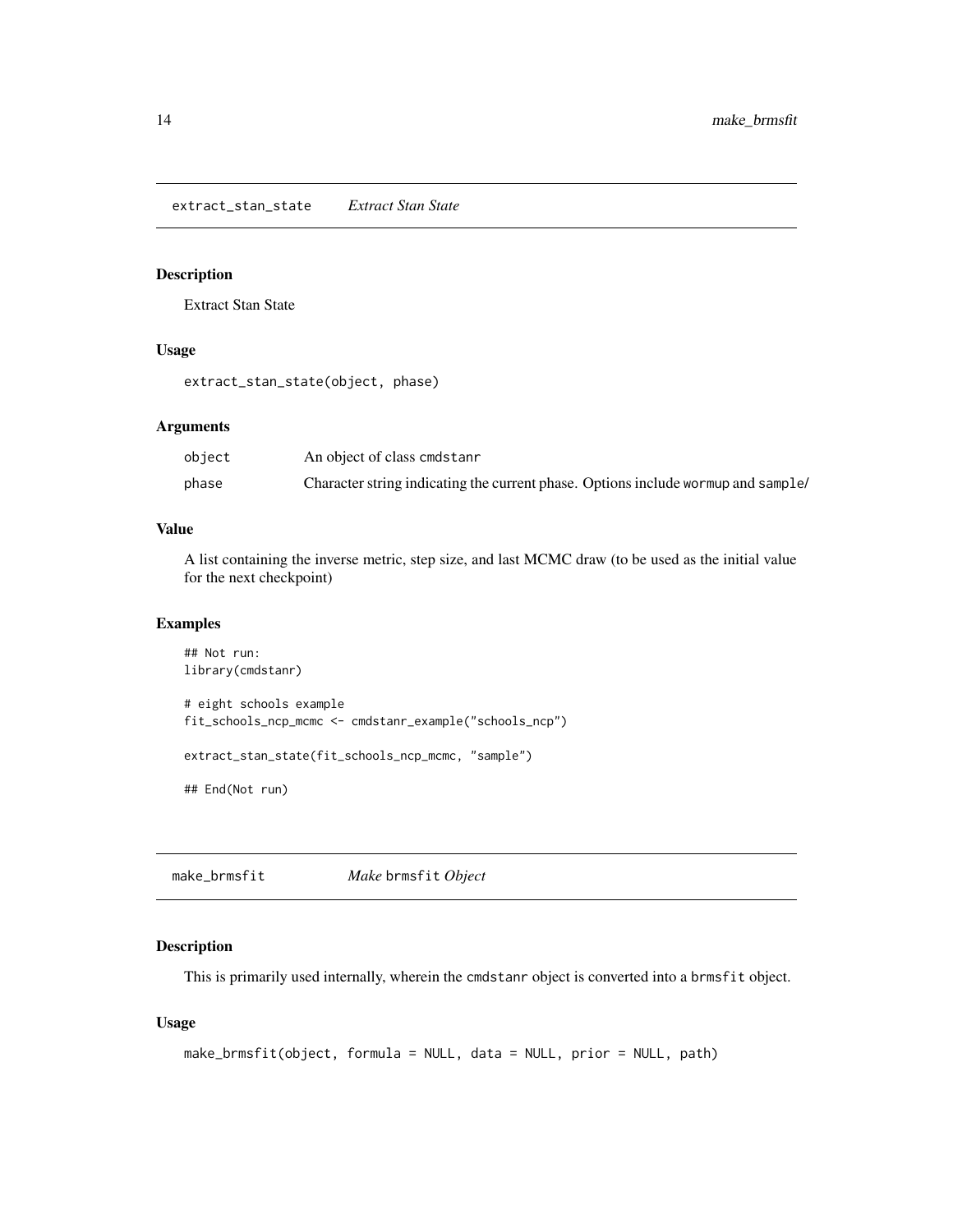<span id="page-13-0"></span>extract\_stan\_state *Extract Stan State*

#### Description

Extract Stan State

#### Usage

extract\_stan\_state(object, phase)

#### Arguments

| object | An object of class cmdstanr                                                       |
|--------|-----------------------------------------------------------------------------------|
| phase  | Character string indicating the current phase. Options include wormup and sample/ |

#### Value

A list containing the inverse metric, step size, and last MCMC draw (to be used as the initial value for the next checkpoint)

#### Examples

```
## Not run:
library(cmdstanr)
# eight schools example
fit_schools_ncp_mcmc <- cmdstanr_example("schools_ncp")
extract_stan_state(fit_schools_ncp_mcmc, "sample")
## End(Not run)
```
make\_brmsfit *Make* brmsfit *Object*

#### Description

This is primarily used internally, wherein the cmdstanr object is converted into a brmsfit object.

#### Usage

```
make_brmsfit(object, formula = NULL, data = NULL, prior = NULL, path)
```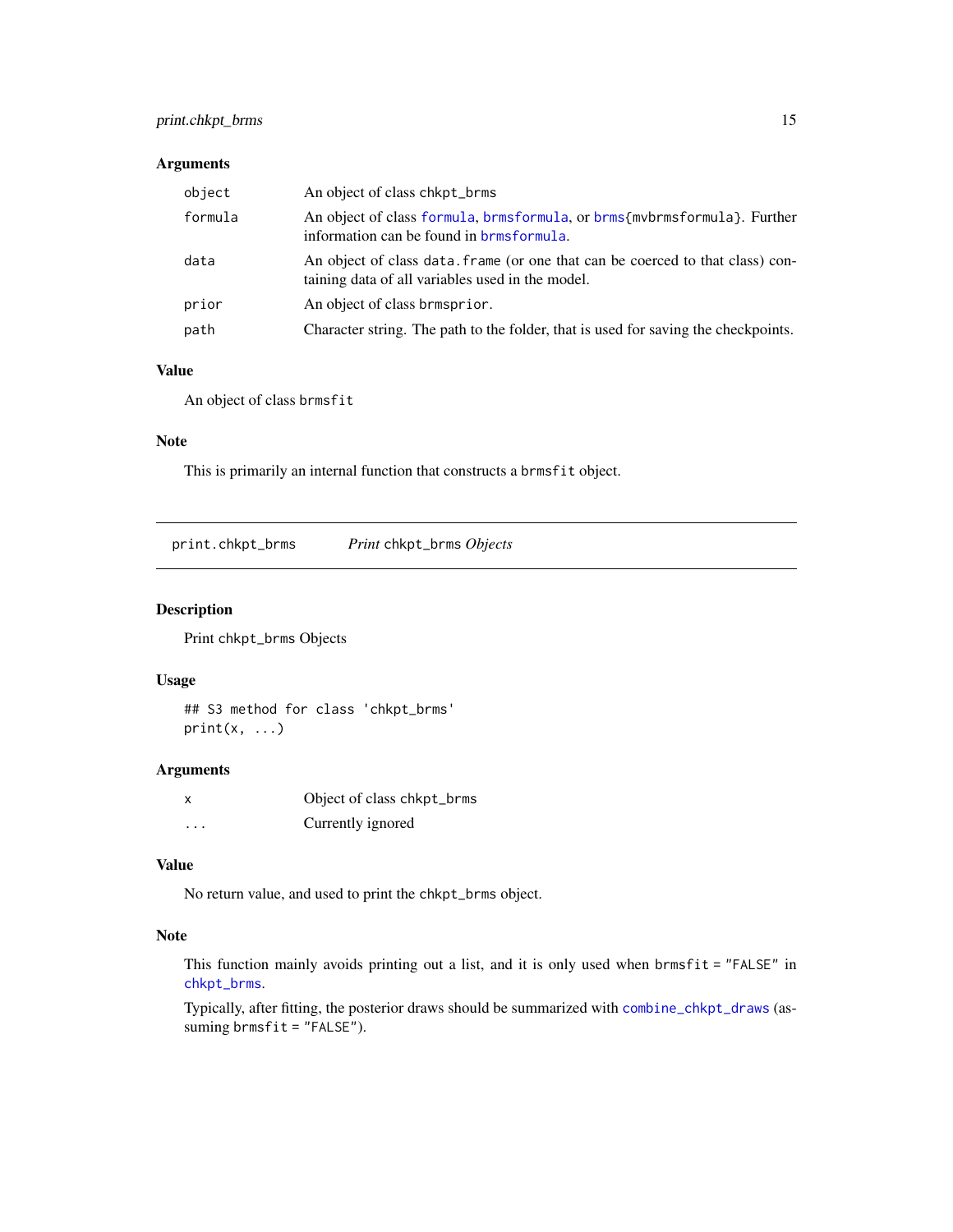#### <span id="page-14-0"></span>print.chkpt\_brms 15

#### Arguments

| object  | An object of class chkpt_brms                                                                                                      |
|---------|------------------------------------------------------------------------------------------------------------------------------------|
| formula | An object of class formula, brmsformula, or brms{mvbrmsformula}. Further<br>information can be found in <b>brmsformula</b> .       |
| data    | An object of class data. frame (or one that can be coerced to that class) con-<br>taining data of all variables used in the model. |
| prior   | An object of class brmsprior.                                                                                                      |
| path    | Character string. The path to the folder, that is used for saving the checkpoints.                                                 |

#### Value

An object of class brmsfit

#### Note

This is primarily an internal function that constructs a brmsfit object.

| <i>Print</i> chkpt_brms <i>Objects</i><br>print.chkpt_brms |
|------------------------------------------------------------|
|------------------------------------------------------------|

#### Description

Print chkpt\_brms Objects

#### Usage

## S3 method for class 'chkpt\_brms'  $print(x, \ldots)$ 

#### Arguments

| X | Object of class chkpt_brms |
|---|----------------------------|
| . | Currently ignored          |

#### Value

No return value, and used to print the chkpt\_brms object.

#### Note

This function mainly avoids printing out a list, and it is only used when brmsfit = "FALSE" in [chkpt\\_brms](#page-2-1).

Typically, after fitting, the posterior draws should be summarized with [combine\\_chkpt\\_draws](#page-8-1) (assuming brmsfit = "FALSE").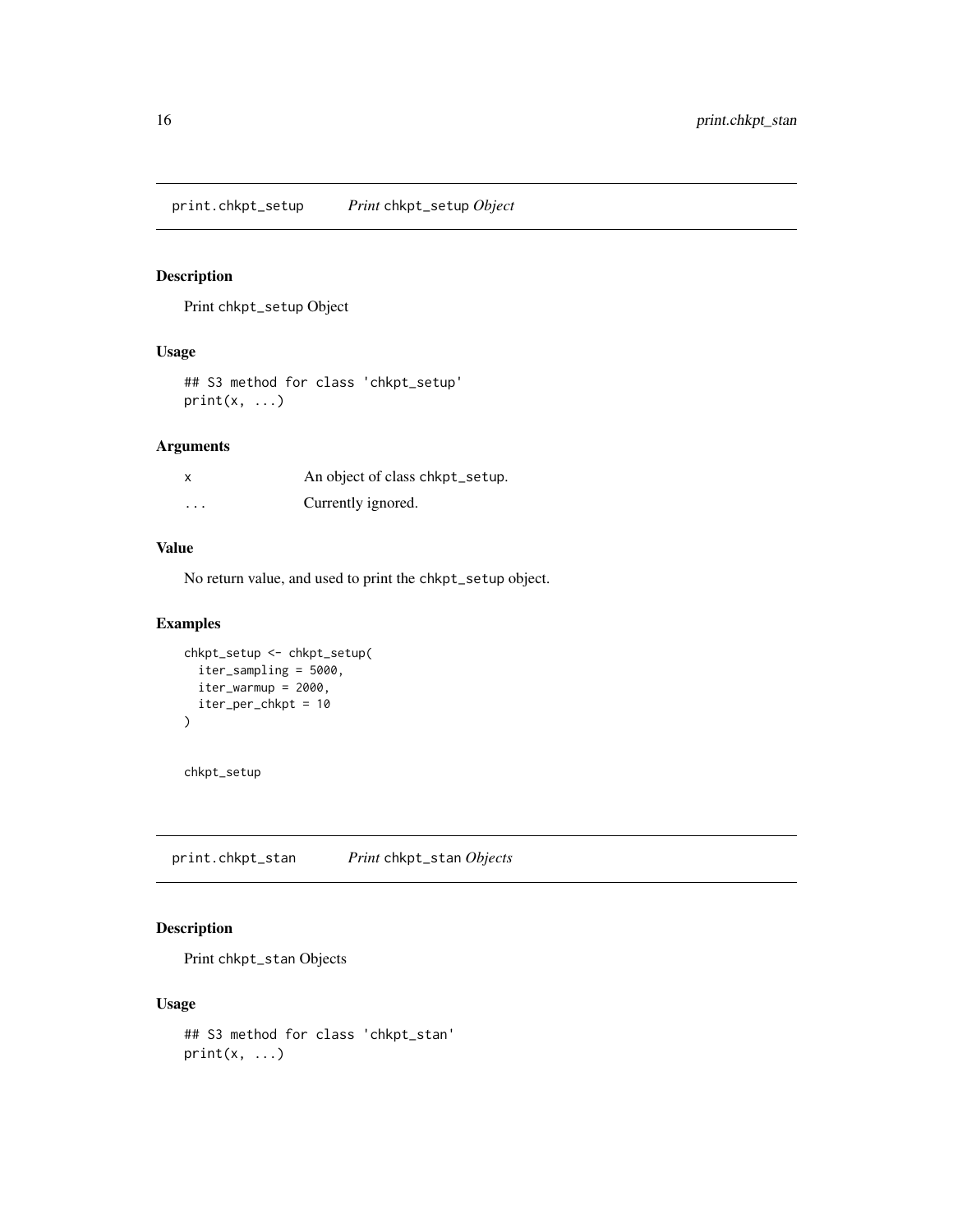<span id="page-15-0"></span>print.chkpt\_setup *Print* chkpt\_setup *Object*

#### Description

Print chkpt\_setup Object

#### Usage

## S3 method for class 'chkpt\_setup' print(x, ...)

#### Arguments

|   | An object of class chkpt_setup. |
|---|---------------------------------|
| . | Currently ignored.              |

#### Value

No return value, and used to print the chkpt\_setup object.

#### Examples

```
chkpt_setup <- chkpt_setup(
 iter_sampling = 5000,
 iter_warmup = 2000,
  iter_per_chkpt = 10
\lambda
```
chkpt\_setup

print.chkpt\_stan *Print* chkpt\_stan *Objects*

#### Description

Print chkpt\_stan Objects

#### Usage

```
## S3 method for class 'chkpt_stan'
print(x, \ldots)
```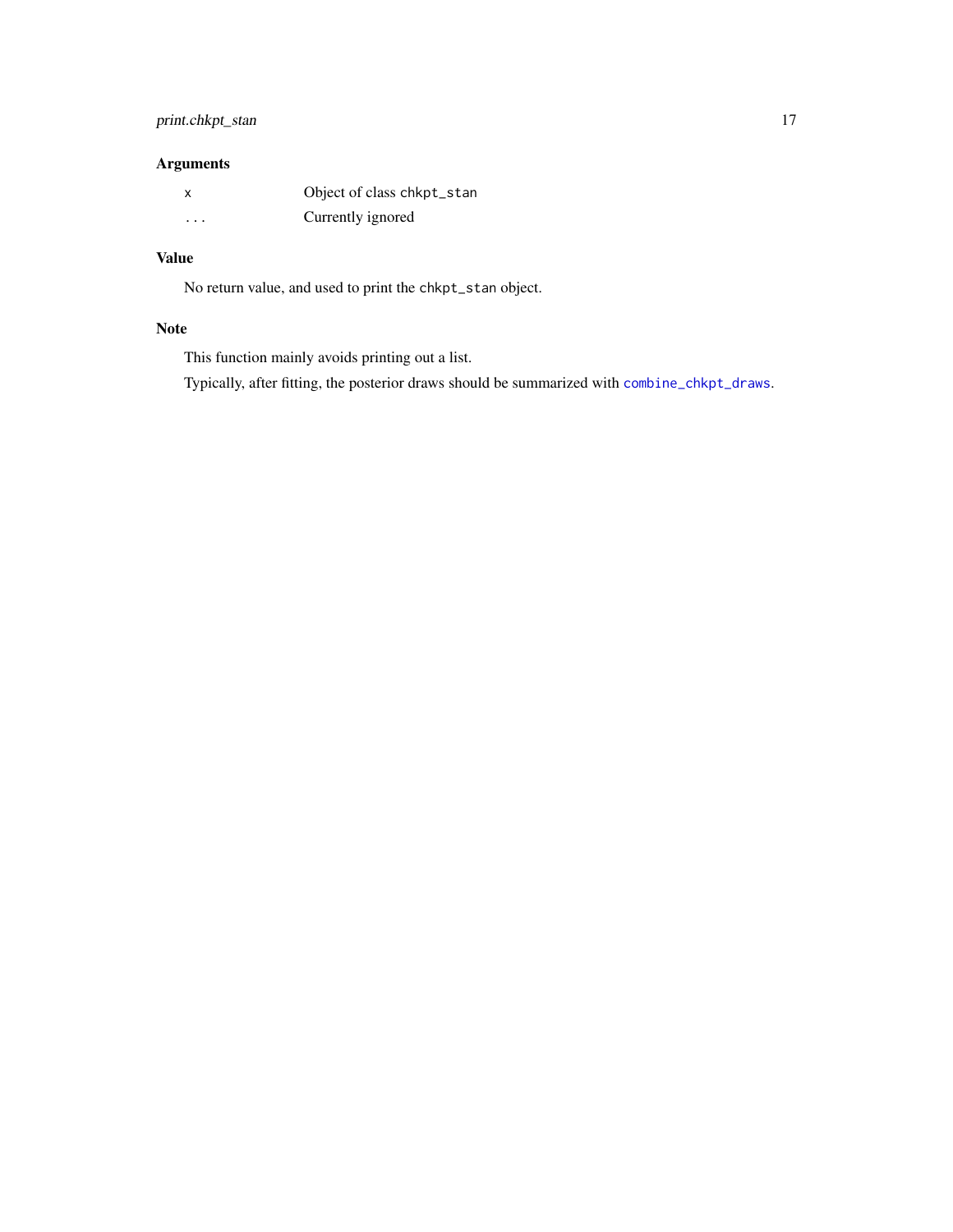#### <span id="page-16-0"></span>print.chkpt\_stan 17

#### Arguments

| x       | Object of class chkpt_stan |
|---------|----------------------------|
| $\cdot$ | Currently ignored          |

### Value

No return value, and used to print the chkpt\_stan object.

#### Note

This function mainly avoids printing out a list.

Typically, after fitting, the posterior draws should be summarized with [combine\\_chkpt\\_draws](#page-8-1).